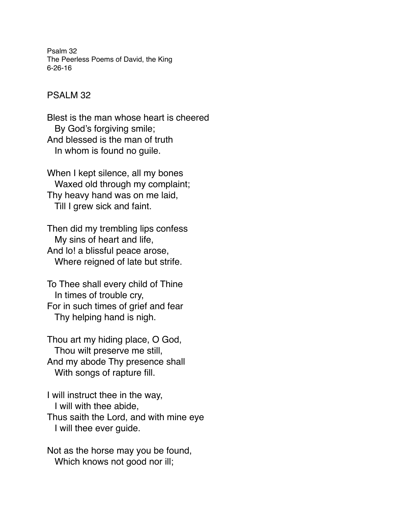Psalm 32 The Peerless Poems of David, the King 6-26-16

## PSALM 32

Blest is the man whose heart is cheered By God's forgiving smile; And blessed is the man of truth In whom is found no guile.

When I kept silence, all my bones Waxed old through my complaint; Thy heavy hand was on me laid, Till I grew sick and faint.

Then did my trembling lips confess My sins of heart and life, And lo! a blissful peace arose, Where reigned of late but strife.

To Thee shall every child of Thine In times of trouble cry, For in such times of grief and fear Thy helping hand is nigh.

Thou art my hiding place, O God, Thou wilt preserve me still, And my abode Thy presence shall With songs of rapture fill.

I will instruct thee in the way, I will with thee abide, Thus saith the Lord, and with mine eye I will thee ever guide.

Not as the horse may you be found, Which knows not good nor ill;